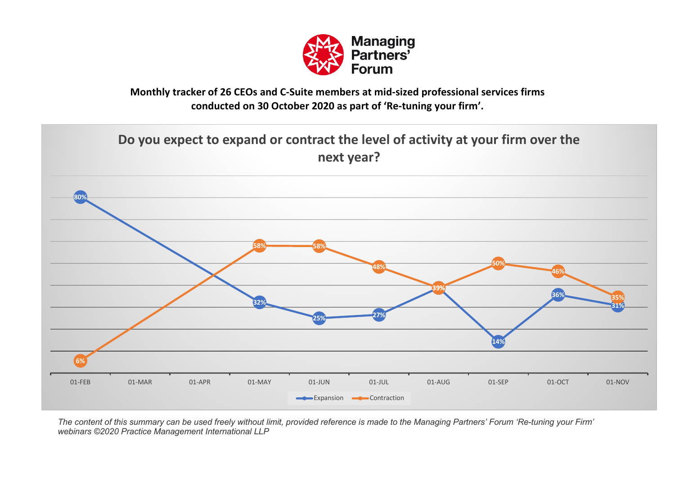

## **Monthly tracker of 26 CEOs and C-Suite members at mid-sized professional services firms conducted on 30 October 2020 as part of 'Re-tuning your firm'.**

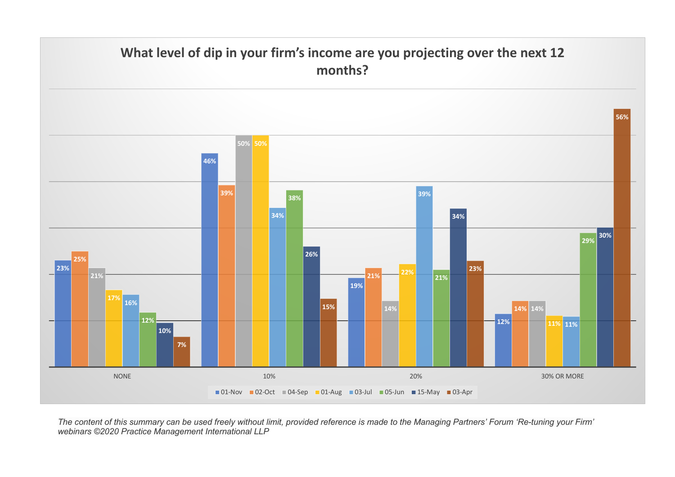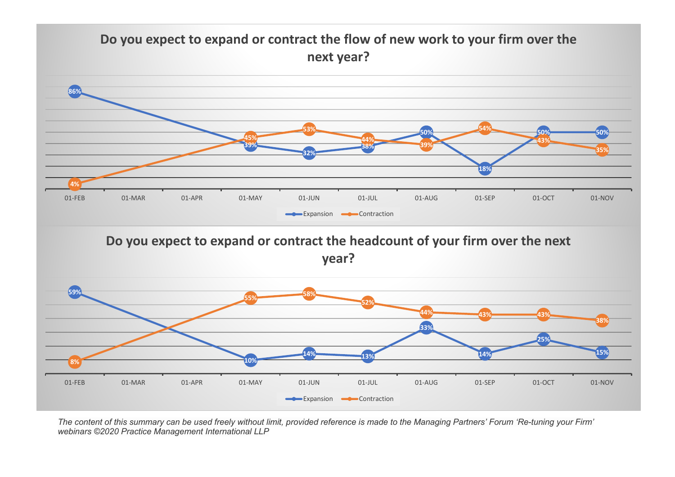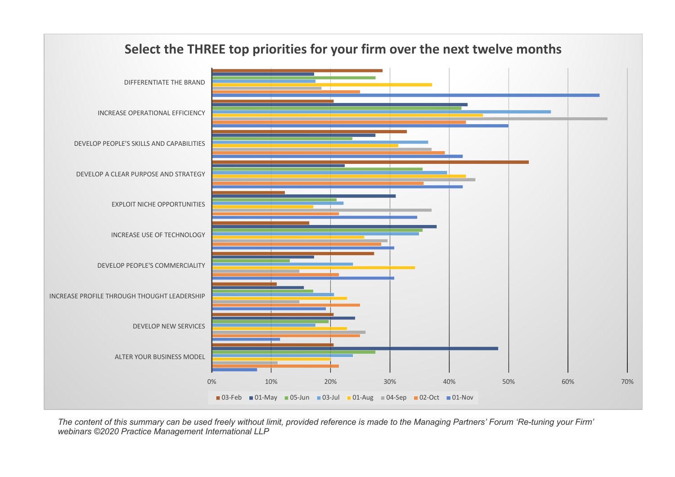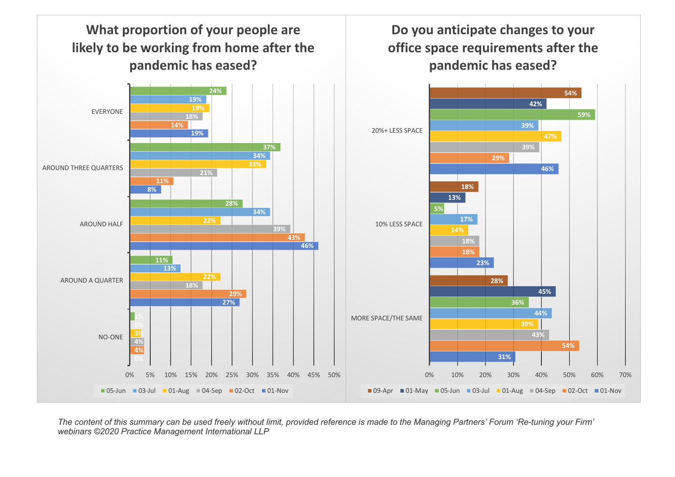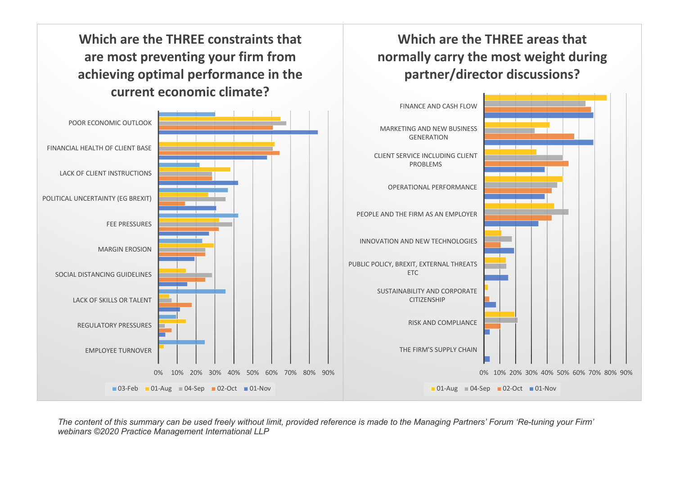